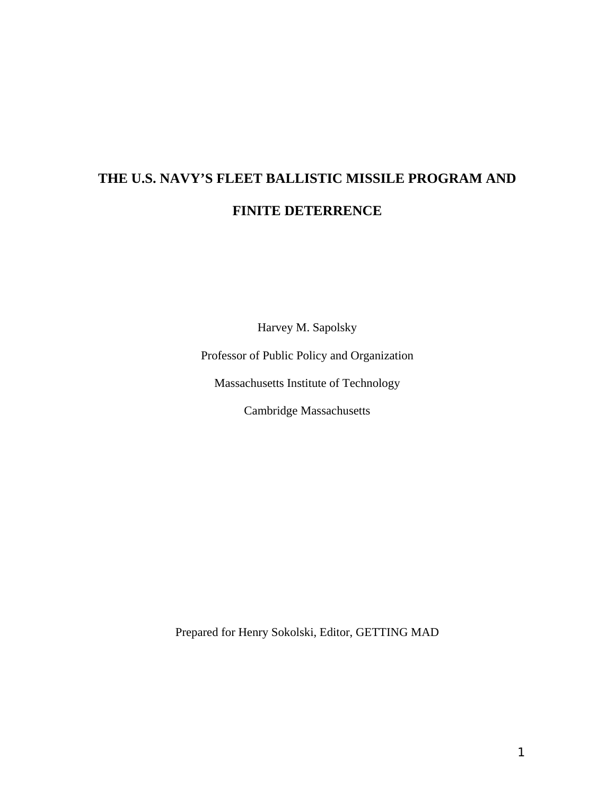# **THE U.S. NAVY'S FLEET BALLISTIC MISSILE PROGRAM AND FINITE DETERRENCE**

Harvey M. Sapolsky

Professor of Public Policy and Organization

Massachusetts Institute of Technology

Cambridge Massachusetts

Prepared for Henry Sokolski, Editor, GETTING MAD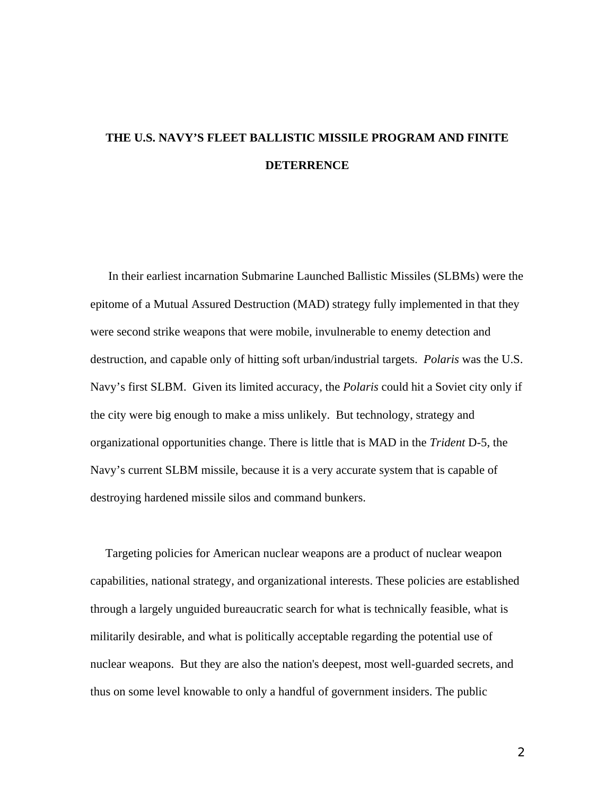# **THE U.S. NAVY'S FLEET BALLISTIC MISSILE PROGRAM AND FINITE DETERRENCE**

 In their earliest incarnation Submarine Launched Ballistic Missiles (SLBMs) were the epitome of a Mutual Assured Destruction (MAD) strategy fully implemented in that they were second strike weapons that were mobile, invulnerable to enemy detection and destruction, and capable only of hitting soft urban/industrial targets. *Polaris* was the U.S. Navy's first SLBM. Given its limited accuracy, the *Polaris* could hit a Soviet city only if the city were big enough to make a miss unlikely. But technology, strategy and organizational opportunities change. There is little that is MAD in the *Trident* D-5, the Navy's current SLBM missile, because it is a very accurate system that is capable of destroying hardened missile silos and command bunkers.

 Targeting policies for American nuclear weapons are a product of nuclear weapon capabilities, national strategy, and organizational interests. These policies are established through a largely unguided bureaucratic search for what is technically feasible, what is militarily desirable, and what is politically acceptable regarding the potential use of nuclear weapons. But they are also the nation's deepest, most well-guarded secrets, and thus on some level knowable to only a handful of government insiders. The public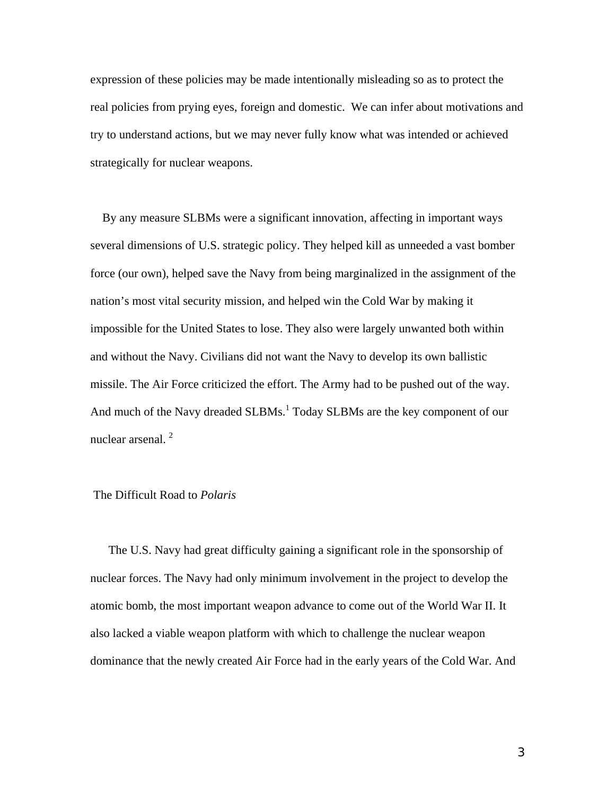expression of these policies may be made intentionally misleading so as to protect the real policies from prying eyes, foreign and domestic. We can infer about motivations and try to understand actions, but we may never fully know what was intended or achieved strategically for nuclear weapons.

 By any measure SLBMs were a significant innovation, affecting in important ways several dimensions of U.S. strategic policy. They helped kill as unneeded a vast bomber force (our own), helped save the Navy from being marginalized in the assignment of the nation's most vital security mission, and helped win the Cold War by making it impossible for the United States to lose. They also were largely unwanted both within and without the Navy. Civilians did not want the Navy to develop its own ballistic missile. The Air Force criticized the effort. The Army had to be pushed out of the way. And much of the Navy dreaded SLBMs.<sup>1</sup> Today SLBMs are the key component of our nuclear arsenal.<sup>2</sup>

#### The Difficult Road to *Polaris*

 The U.S. Navy had great difficulty gaining a significant role in the sponsorship of nuclear forces. The Navy had only minimum involvement in the project to develop the atomic bomb, the most important weapon advance to come out of the World War II. It also lacked a viable weapon platform with which to challenge the nuclear weapon dominance that the newly created Air Force had in the early years of the Cold War. And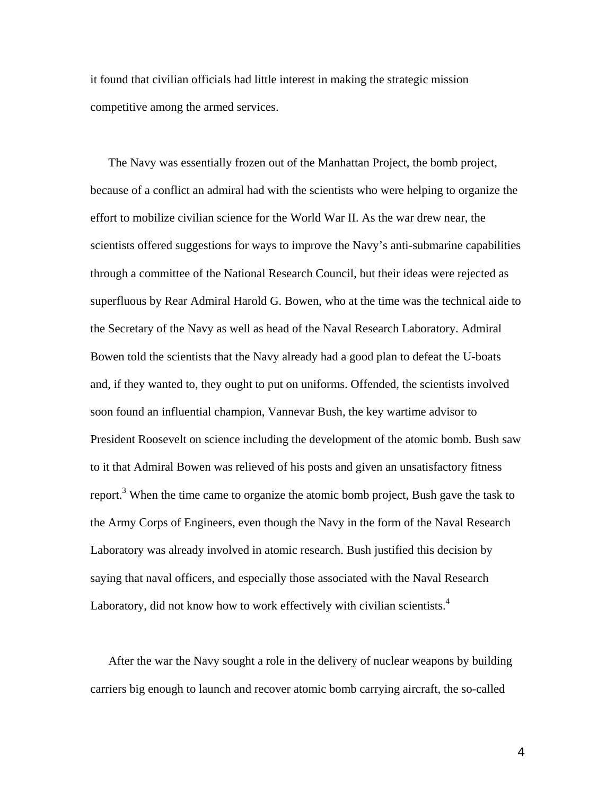it found that civilian officials had little interest in making the strategic mission competitive among the armed services.

 The Navy was essentially frozen out of the Manhattan Project, the bomb project, because of a conflict an admiral had with the scientists who were helping to organize the effort to mobilize civilian science for the World War II. As the war drew near, the scientists offered suggestions for ways to improve the Navy's anti-submarine capabilities through a committee of the National Research Council, but their ideas were rejected as superfluous by Rear Admiral Harold G. Bowen, who at the time was the technical aide to the Secretary of the Navy as well as head of the Naval Research Laboratory. Admiral Bowen told the scientists that the Navy already had a good plan to defeat the U-boats and, if they wanted to, they ought to put on uniforms. Offended, the scientists involved soon found an influential champion, Vannevar Bush, the key wartime advisor to President Roosevelt on science including the development of the atomic bomb. Bush saw to it that Admiral Bowen was relieved of his posts and given an unsatisfactory fitness report.<sup>[3](#page-17-2)</sup> When the time came to organize the atomic bomb project, Bush gave the task to the Army Corps of Engineers, even though the Navy in the form of the Naval Research Laboratory was already involved in atomic research. Bush justified this decision by saying that naval officers, and especially those associated with the Naval Research Laboratory, did not know how to work effectively with civilian scientists. $4$ 

 After the war the Navy sought a role in the delivery of nuclear weapons by building carriers big enough to launch and recover atomic bomb carrying aircraft, the so-called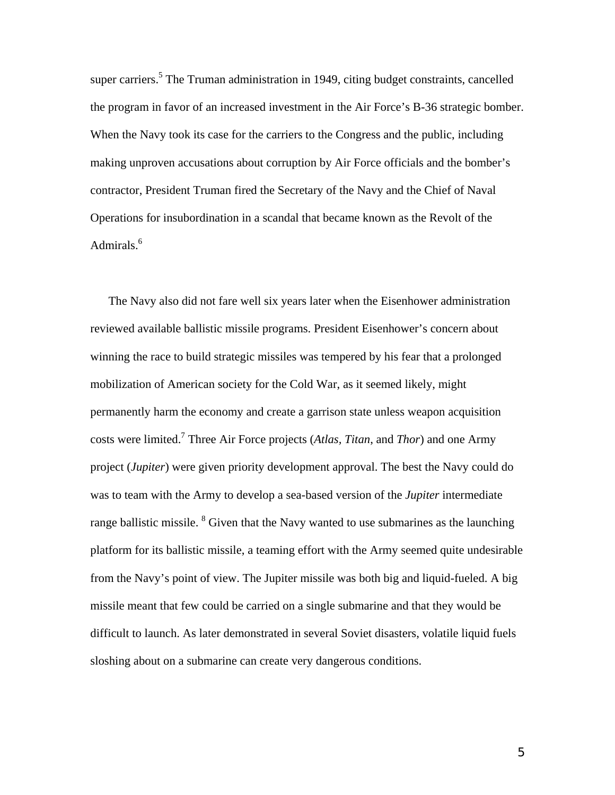super carriers.<sup>5</sup> The Truman administration in 1949, citing budget constraints, cancelled the program in favor of an increased investment in the Air Force's B-36 strategic bomber. When the Navy took its case for the carriers to the Congress and the public, including making unproven accusations about corruption by Air Force officials and the bomber's contractor, President Truman fired the Secretary of the Navy and the Chief of Naval Operations for insubordination in a scandal that became known as the Revolt of the Admirals.<sup>[6](#page-17-5)</sup>

 The Navy also did not fare well six years later when the Eisenhower administration reviewed available ballistic missile programs. President Eisenhower's concern about winning the race to build strategic missiles was tempered by his fear that a prolonged mobilization of American society for the Cold War, as it seemed likely, might permanently harm the economy and create a garrison state unless weapon acquisition costs were limited[.7](#page-17-6) Three Air Force projects (*Atlas, Titan*, and *Thor*) and one Army project (*Jupiter*) were given priority development approval. The best the Navy could do was to team with the Army to develop a sea-based version of the *Jupiter* intermediate range ballistic missile.  $8$  Given that the Navy wanted to use submarines as the launching platform for its ballistic missile, a teaming effort with the Army seemed quite undesirable from the Navy's point of view. The Jupiter missile was both big and liquid-fueled. A big missile meant that few could be carried on a single submarine and that they would be difficult to launch. As later demonstrated in several Soviet disasters, volatile liquid fuels sloshing about on a submarine can create very dangerous conditions.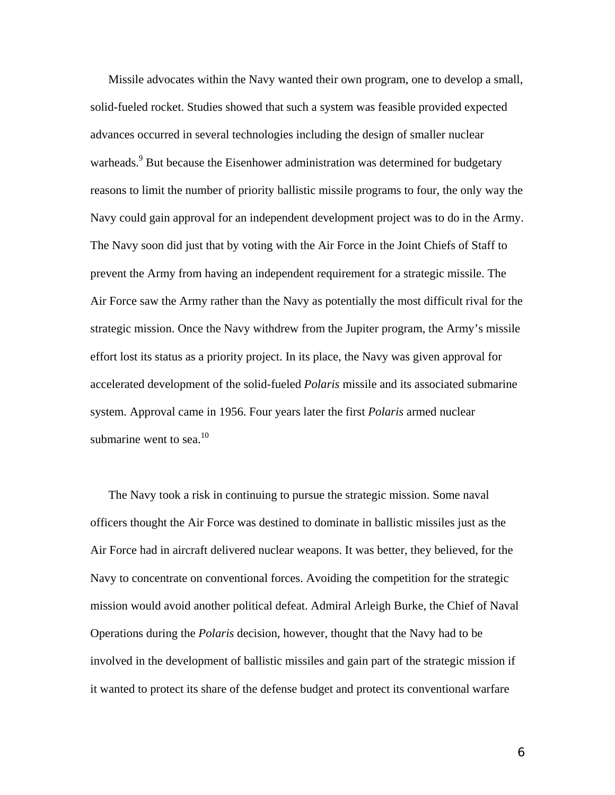Missile advocates within the Navy wanted their own program, one to develop a small, solid-fueled rocket. Studies showed that such a system was feasible provided expected advances occurred in several technologies including the design of smaller nuclear warheads.<sup>9</sup> But because the Eisenhower administration was determined for budgetary reasons to limit the number of priority ballistic missile programs to four, the only way the Navy could gain approval for an independent development project was to do in the Army. The Navy soon did just that by voting with the Air Force in the Joint Chiefs of Staff to prevent the Army from having an independent requirement for a strategic missile. The Air Force saw the Army rather than the Navy as potentially the most difficult rival for the strategic mission. Once the Navy withdrew from the Jupiter program, the Army's missile effort lost its status as a priority project. In its place, the Navy was given approval for accelerated development of the solid-fueled *Polaris* missile and its associated submarine system. Approval came in 1956. Four years later the first *Polaris* armed nuclear submarine went to sea. $10$ 

 The Navy took a risk in continuing to pursue the strategic mission. Some naval officers thought the Air Force was destined to dominate in ballistic missiles just as the Air Force had in aircraft delivered nuclear weapons. It was better, they believed, for the Navy to concentrate on conventional forces. Avoiding the competition for the strategic mission would avoid another political defeat. Admiral Arleigh Burke, the Chief of Naval Operations during the *Polaris* decision, however, thought that the Navy had to be involved in the development of ballistic missiles and gain part of the strategic mission if it wanted to protect its share of the defense budget and protect its conventional warfare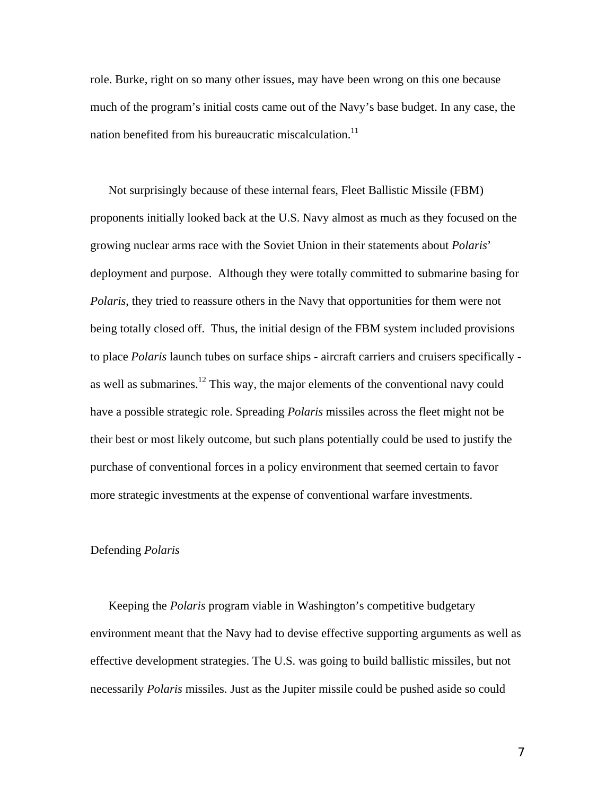role. Burke, right on so many other issues, may have been wrong on this one because much of the program's initial costs came out of the Navy's base budget. In any case, the nation benefited from his bureaucratic miscalculation.<sup>[11](#page-17-10)</sup>

 Not surprisingly because of these internal fears, Fleet Ballistic Missile (FBM) proponents initially looked back at the U.S. Navy almost as much as they focused on the growing nuclear arms race with the Soviet Union in their statements about *Polaris*' deployment and purpose. Although they were totally committed to submarine basing for *Polaris*, they tried to reassure others in the Navy that opportunities for them were not being totally closed off. Thus, the initial design of the FBM system included provisions to place *Polaris* launch tubes on surface ships - aircraft carriers and cruisers specifically as well as submarines.<sup>12</sup> This way, the major elements of the conventional navy could have a possible strategic role. Spreading *Polaris* missiles across the fleet might not be their best or most likely outcome, but such plans potentially could be used to justify the purchase of conventional forces in a policy environment that seemed certain to favor more strategic investments at the expense of conventional warfare investments.

#### Defending *Polaris*

 Keeping the *Polaris* program viable in Washington's competitive budgetary environment meant that the Navy had to devise effective supporting arguments as well as effective development strategies. The U.S. was going to build ballistic missiles, but not necessarily *Polaris* missiles. Just as the Jupiter missile could be pushed aside so could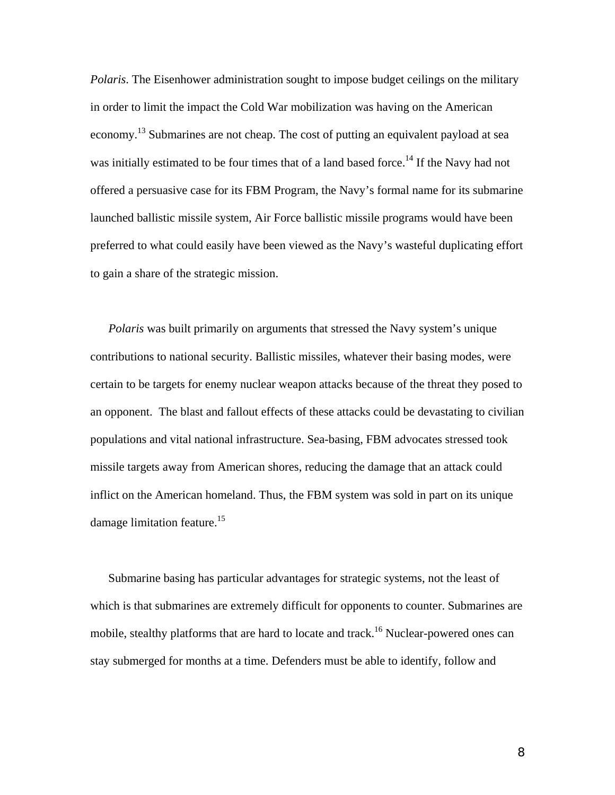*Polaris*. The Eisenhower administration sought to impose budget ceilings on the military in order to limit the impact the Cold War mobilization was having on the American economy.<sup>13</sup> Submarines are not cheap. The cost of putting an equivalent payload at sea was initially estimated to be four times that of a land based force.<sup>14</sup> If the Navy had not offered a persuasive case for its FBM Program, the Navy's formal name for its submarine launched ballistic missile system, Air Force ballistic missile programs would have been preferred to what could easily have been viewed as the Navy's wasteful duplicating effort to gain a share of the strategic mission.

 *Polaris* was built primarily on arguments that stressed the Navy system's unique contributions to national security. Ballistic missiles, whatever their basing modes, were certain to be targets for enemy nuclear weapon attacks because of the threat they posed to an opponent. The blast and fallout effects of these attacks could be devastating to civilian populations and vital national infrastructure. Sea-basing, FBM advocates stressed took missile targets away from American shores, reducing the damage that an attack could inflict on the American homeland. Thus, the FBM system was sold in part on its unique damage limitation feature.<sup>15</sup>

 Submarine basing has particular advantages for strategic systems, not the least of which is that submarines are extremely difficult for opponents to counter. Submarines are mobile, stealthy platforms that are hard to locate and track.<sup>16</sup> Nuclear-powered ones can stay submerged for months at a time. Defenders must be able to identify, follow and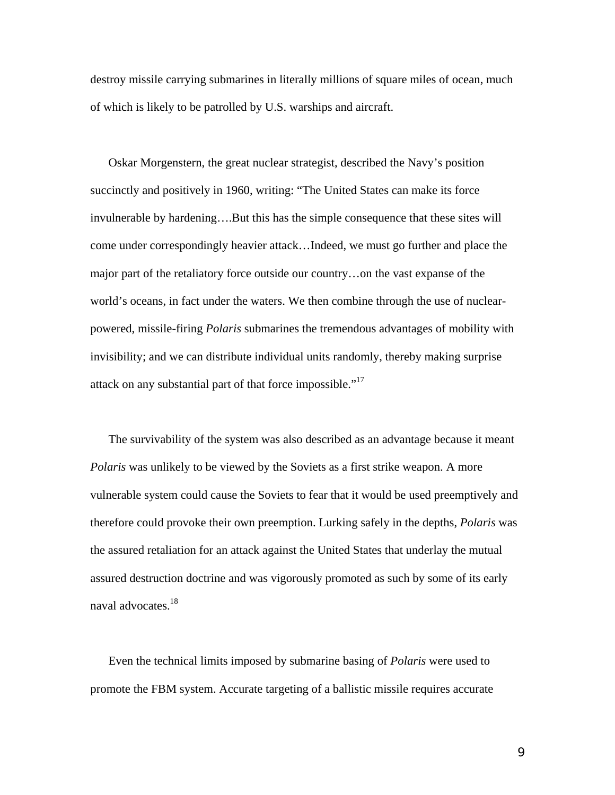destroy missile carrying submarines in literally millions of square miles of ocean, much of which is likely to be patrolled by U.S. warships and aircraft.

 Oskar Morgenstern, the great nuclear strategist, described the Navy's position succinctly and positively in 1960, writing: "The United States can make its force invulnerable by hardening….But this has the simple consequence that these sites will come under correspondingly heavier attack…Indeed, we must go further and place the major part of the retaliatory force outside our country…on the vast expanse of the world's oceans, in fact under the waters. We then combine through the use of nuclearpowered, missile-firing *Polaris* submarines the tremendous advantages of mobility with invisibility; and we can distribute individual units randomly, thereby making surprise attack on any substantial part of that force impossible."<sup>[17](#page-17-16)</sup>

 The survivability of the system was also described as an advantage because it meant *Polaris* was unlikely to be viewed by the Soviets as a first strike weapon. A more vulnerable system could cause the Soviets to fear that it would be used preemptively and therefore could provoke their own preemption. Lurking safely in the depths, *Polaris* was the assured retaliation for an attack against the United States that underlay the mutual assured destruction doctrine and was vigorously promoted as such by some of its early naval advocates.<sup>18</sup>

 Even the technical limits imposed by submarine basing of *Polaris* were used to promote the FBM system. Accurate targeting of a ballistic missile requires accurate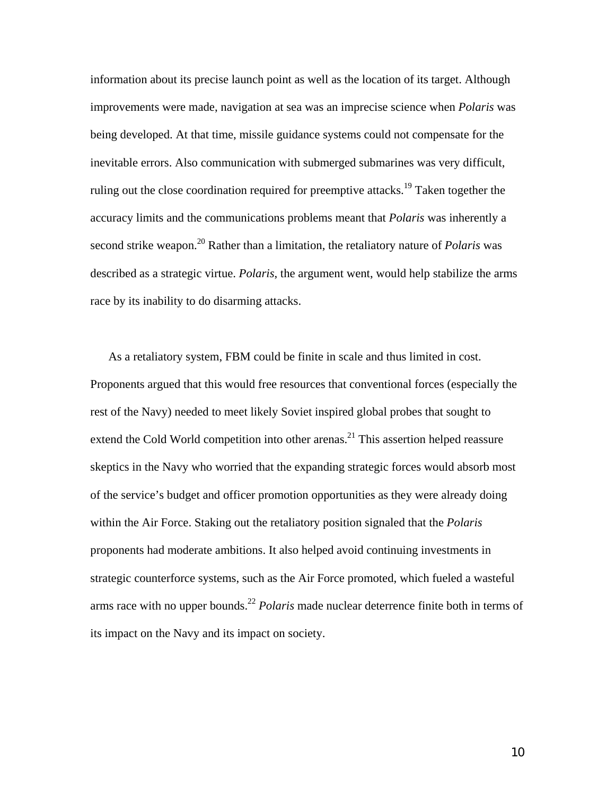information about its precise launch point as well as the location of its target. Although improvements were made, navigation at sea was an imprecise science when *Polaris* was being developed. At that time, missile guidance systems could not compensate for the inevitable errors. Also communication with submerged submarines was very difficult, ruling out the close coordination required for preemptive attacks.<sup>19</sup> Taken together the accuracy limits and the communications problems meant that *Polaris* was inherently a second strike weapon.[20 R](#page-17-19)ather than a limitation, the retaliatory nature of *Polaris* was described as a strategic virtue. *Polaris*, the argument went, would help stabilize the arms race by its inability to do disarming attacks.

 As a retaliatory system, FBM could be finite in scale and thus limited in cost. Proponents argued that this would free resources that conventional forces (especially the rest of the Navy) needed to meet likely Soviet inspired global probes that sought to extend the Cold World competition into other arenas.<sup>21</sup> This assertion helped reassure skeptics in the Navy who worried that the expanding strategic forces would absorb most of the service's budget and officer promotion opportunities as they were already doing within the Air Force. Staking out the retaliatory position signaled that the *Polaris* proponents had moderate ambitions. It also helped avoid continuing investments in strategic counterforce systems, such as the Air Force promoted, which fueled a wasteful arms race with no upper bounds.<sup>[22](#page-17-21)</sup> *Polaris* made nuclear deterrence finite both in terms of its impact on the Navy and its impact on society.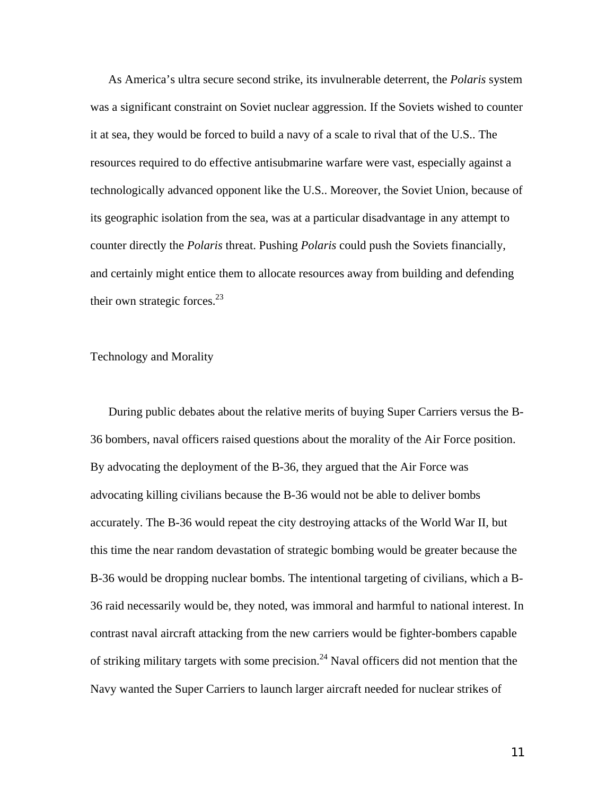As America's ultra secure second strike, its invulnerable deterrent, the *Polaris* system was a significant constraint on Soviet nuclear aggression. If the Soviets wished to counter it at sea, they would be forced to build a navy of a scale to rival that of the U.S.. The resources required to do effective antisubmarine warfare were vast, especially against a technologically advanced opponent like the U.S.. Moreover, the Soviet Union, because of its geographic isolation from the sea, was at a particular disadvantage in any attempt to counter directly the *Polaris* threat. Pushing *Polaris* could push the Soviets financially, and certainly might entice them to allocate resources away from building and defending their own strategic forces.<sup>[23](#page-17-22)</sup>

### Technology and Morality

 During public debates about the relative merits of buying Super Carriers versus the B-36 bombers, naval officers raised questions about the morality of the Air Force position. By advocating the deployment of the B-36, they argued that the Air Force was advocating killing civilians because the B-36 would not be able to deliver bombs accurately. The B-36 would repeat the city destroying attacks of the World War II, but this time the near random devastation of strategic bombing would be greater because the B-36 would be dropping nuclear bombs. The intentional targeting of civilians, which a B-36 raid necessarily would be, they noted, was immoral and harmful to national interest. In contrast naval aircraft attacking from the new carriers would be fighter-bombers capable of striking military targets with some precision.<sup>24</sup> Naval officers did not mention that the Navy wanted the Super Carriers to launch larger aircraft needed for nuclear strikes of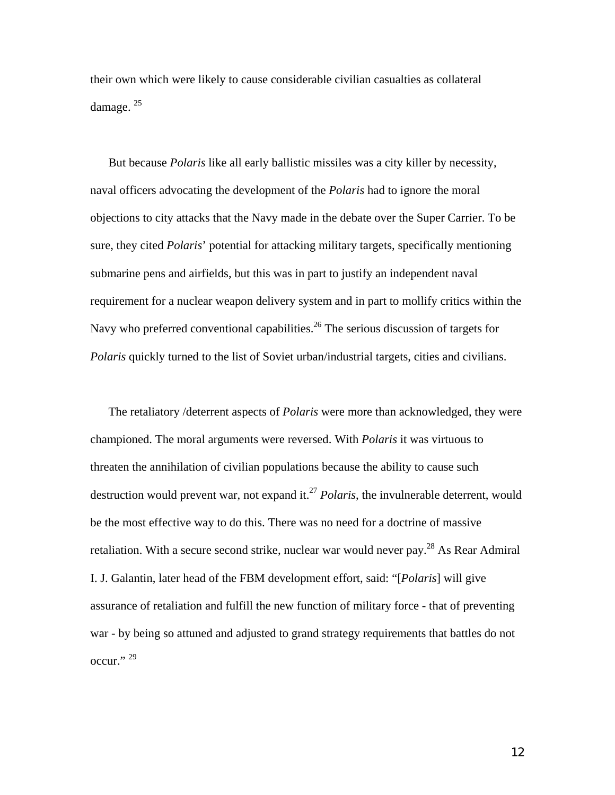their own which were likely to cause considerable civilian casualties as collateral damage.<sup>[25](#page-17-24)</sup>

 But because *Polaris* like all early ballistic missiles was a city killer by necessity, naval officers advocating the development of the *Polaris* had to ignore the moral objections to city attacks that the Navy made in the debate over the Super Carrier. To be sure, they cited *Polaris*' potential for attacking military targets, specifically mentioning submarine pens and airfields, but this was in part to justify an independent naval requirement for a nuclear weapon delivery system and in part to mollify critics within the Navy who preferred conventional capabilities.<sup>26</sup> The serious discussion of targets for *Polaris* quickly turned to the list of Soviet urban/industrial targets, cities and civilians.

 The retaliatory /deterrent aspects of *Polaris* were more than acknowledged, they were championed. The moral arguments were reversed. With *Polaris* it was virtuous to threaten the annihilation of civilian populations because the ability to cause such destruction would prevent war, not expand it.<sup>27</sup> *Polaris*, the invulnerable deterrent, would be the most effective way to do this. There was no need for a doctrine of massive retaliation. With a secure second strike, nuclear war would never pay.<sup>28</sup> As Rear Admiral I. J. Galantin, later head of the FBM development effort, said: "[*Polaris*] will give assurance of retaliation and fulfill the new function of military force - that of preventing war - by being so attuned and adjusted to grand strategy requirements that battles do not occur."<sup>29</sup>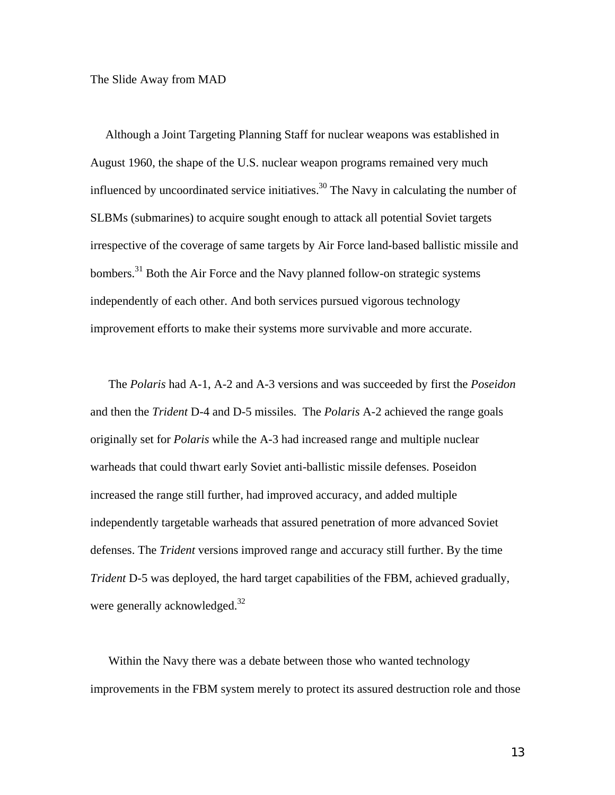The Slide Away from MAD

 Although a Joint Targeting Planning Staff for nuclear weapons was established in August 1960, the shape of the U.S. nuclear weapon programs remained very much influenced by uncoordinated service initiatives.<sup>30</sup> The Navy in calculating the number of SLBMs (submarines) to acquire sought enough to attack all potential Soviet targets irrespective of the coverage of same targets by Air Force land-based ballistic missile and bombers.<sup>31</sup> Both the Air Force and the Navy planned follow-on strategic systems independently of each other. And both services pursued vigorous technology improvement efforts to make their systems more survivable and more accurate.

 The *Polaris* had A-1, A-2 and A-3 versions and was succeeded by first the *Poseidon* and then the *Trident* D-4 and D-5 missiles. The *Polaris* A-2 achieved the range goals originally set for *Polaris* while the A-3 had increased range and multiple nuclear warheads that could thwart early Soviet anti-ballistic missile defenses. Poseidon increased the range still further, had improved accuracy, and added multiple independently targetable warheads that assured penetration of more advanced Soviet defenses. The *Trident* versions improved range and accuracy still further. By the time *Trident* D-5 was deployed, the hard target capabilities of the FBM, achieved gradually, were generally acknowledged.<sup>32</sup>

 Within the Navy there was a debate between those who wanted technology improvements in the FBM system merely to protect its assured destruction role and those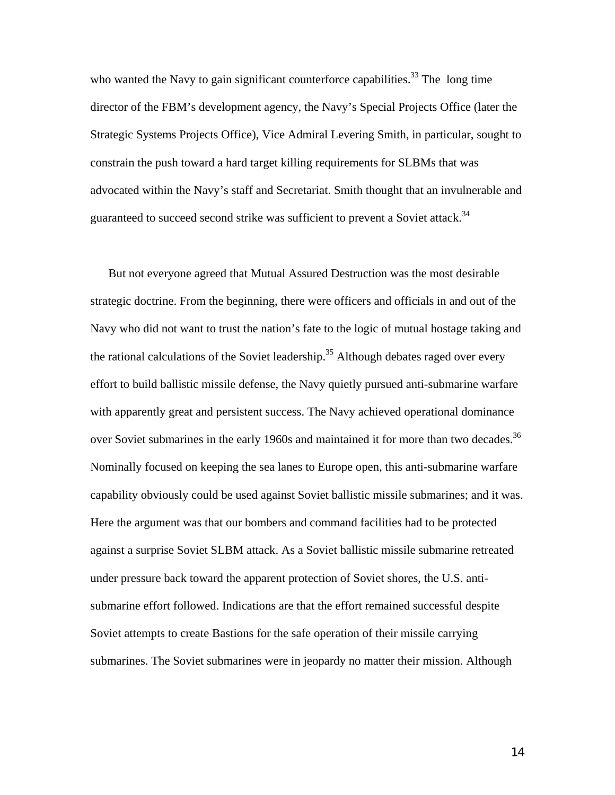who wanted the Navy to gain significant counterforce capabilities.<sup>33</sup> The long time director of the FBM's development agency, the Navy's Special Projects Office (later the Strategic Systems Projects Office), Vice Admiral Levering Smith, in particular, sought to constrain the push toward a hard target killing requirements for SLBMs that was advocated within the Navy's staff and Secretariat. Smith thought that an invulnerable and guaranteed to succeed second strike was sufficient to prevent a Soviet attack.<sup>[34](#page-17-30)</sup>

 But not everyone agreed that Mutual Assured Destruction was the most desirable strategic doctrine. From the beginning, there were officers and officials in and out of the Navy who did not want to trust the nation's fate to the logic of mutual hostage taking and the rational calculations of the Soviet leadership.<sup>35</sup> Although debates raged over every effort to build ballistic missile defense, the Navy quietly pursued anti-submarine warfare with apparently great and persistent success. The Navy achieved operational dominance over Soviet submarines in the early 1960s and maintained it for more than two decades.<sup>[36](#page-17-22)</sup> Nominally focused on keeping the sea lanes to Europe open, this anti-submarine warfare capability obviously could be used against Soviet ballistic missile submarines; and it was. Here the argument was that our bombers and command facilities had to be protected against a surprise Soviet SLBM attack. As a Soviet ballistic missile submarine retreated under pressure back toward the apparent protection of Soviet shores, the U.S. antisubmarine effort followed. Indications are that the effort remained successful despite Soviet attempts to create Bastions for the safe operation of their missile carrying submarines. The Soviet submarines were in jeopardy no matter their mission. Although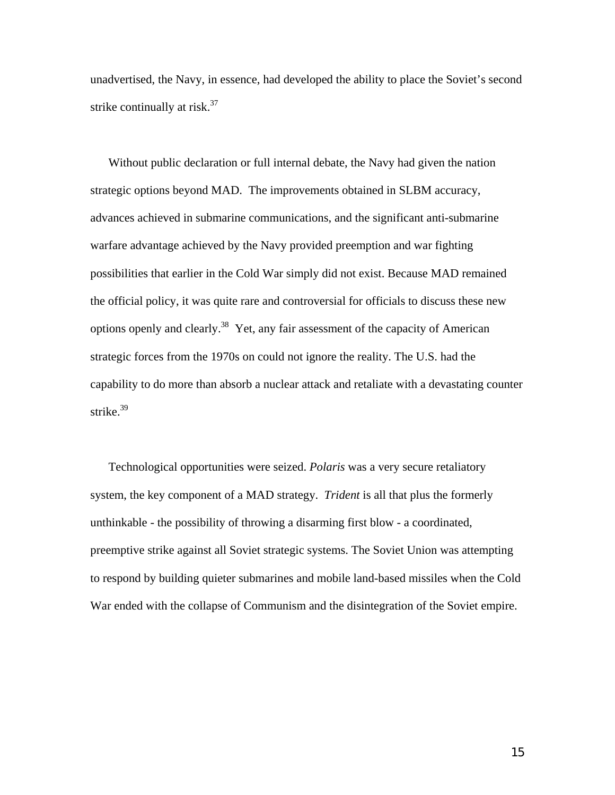unadvertised, the Navy, in essence, had developed the ability to place the Soviet's second strike continually at risk.<sup>37</sup>

 Without public declaration or full internal debate, the Navy had given the nation strategic options beyond MAD. The improvements obtained in SLBM accuracy, advances achieved in submarine communications, and the significant anti-submarine warfare advantage achieved by the Navy provided preemption and war fighting possibilities that earlier in the Cold War simply did not exist. Because MAD remained the official policy, it was quite rare and controversial for officials to discuss these new options openly and clearly[.38](#page-17-33) Yet, any fair assessment of the capacity of American strategic forces from the 1970s on could not ignore the reality. The U.S. had the capability to do more than absorb a nuclear attack and retaliate with a devastating counter strike. [39](#page-17-34)

 Technological opportunities were seized. *Polaris* was a very secure retaliatory system, the key component of a MAD strategy. *Trident* is all that plus the formerly unthinkable - the possibility of throwing a disarming first blow - a coordinated, preemptive strike against all Soviet strategic systems. The Soviet Union was attempting to respond by building quieter submarines and mobile land-based missiles when the Cold War ended with the collapse of Communism and the disintegration of the Soviet empire.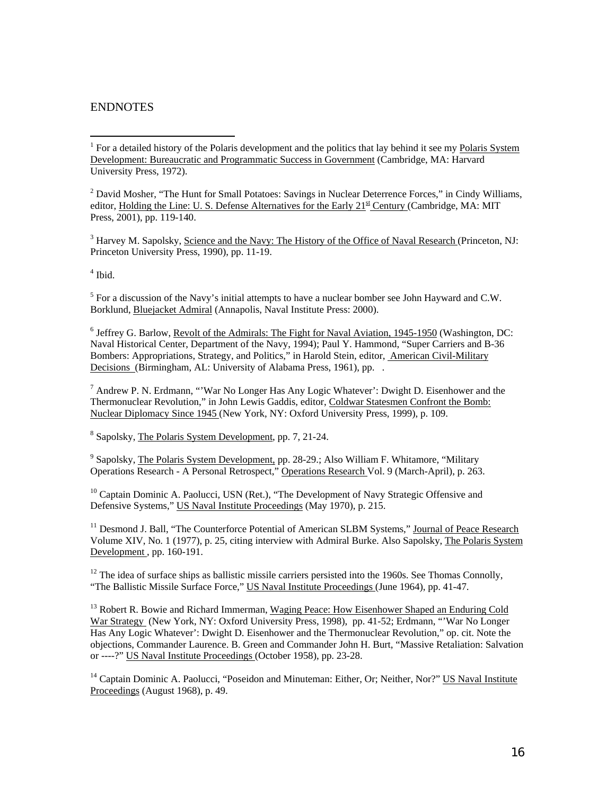## ENDNOTES

 $2^{2}$  David Mosher, "The Hunt for Small Potatoes: Savings in Nuclear Deterrence Forces," in Cindy Williams, editor, Holding the Line: U. S. Defense Alternatives for the Early  $21<sup>st</sup>$  Century (Cambridge, MA; MIT Press, 2001), pp. 119-140.

<sup>3</sup> Harvey M. Sapolsky, Science and the Navy: The History of the Office of Naval Research (Princeton, NJ: Princeton University Press, 1990), pp. 11-19.

4 Ibid.

 $<sup>5</sup>$  For a discussion of the Navy's initial attempts to have a nuclear bomber see John Hayward and C.W.</sup> Borklund, Bluejacket Admiral (Annapolis, Naval Institute Press: 2000).

<sup>6</sup> Jeffrey G. Barlow, *Revolt of the Admirals: The Fight for Naval Aviation, 1945-1950* (Washington, DC: Naval Historical Center, Department of the Navy, 1994); Paul Y. Hammond, "Super Carriers and B-36 Bombers: Appropriations, Strategy, and Politics," in Harold Stein, editor, American Civil-Military Decisions (Birmingham, AL: University of Alabama Press, 1961), pp. .

 $^7$  Andrew P. N. Erdmann, "'War No Longer Has Any Logic Whatever': Dwight D. Eisenhower and the Thermonuclear Revolution," in John Lewis Gaddis, editor, Coldwar Statesmen Confront the Bomb: Nuclear Diplomacy Since 1945 (New York, NY: Oxford University Press, 1999), p. 109.

<sup>8</sup> Sapolsky, The Polaris System Development, pp. 7, 21-24.

<sup>9</sup> Sapolsky, The Polaris System Development, pp. 28-29.; Also William F. Whitamore, "Military Operations Research - A Personal Retrospect," Operations Research Vol. 9 (March-April), p. 263.

<sup>10</sup> Captain Dominic A. Paolucci, USN (Ret.), "The Development of Navy Strategic Offensive and Defensive Systems," US Naval Institute Proceedings (May 1970), p. 215.

<sup>11</sup> Desmond J. Ball, "The Counterforce Potential of American SLBM Systems," Journal of Peace Research Volume XIV, No. 1 (1977), p. 25, citing interview with Admiral Burke. Also Sapolsky, The Polaris System Development, pp. 160-191.

 $12$  The idea of surface ships as ballistic missile carriers persisted into the 1960s. See Thomas Connolly, "The Ballistic Missile Surface Force," US Naval Institute Proceedings (June 1964), pp. 41-47.

<sup>13</sup> Robert R. Bowie and Richard Immerman, Waging Peace: How Eisenhower Shaped an Enduring Cold War Strategy (New York, NY: Oxford University Press, 1998), pp. 41-52; Erdmann, "'War No Longer Has Any Logic Whatever': Dwight D. Eisenhower and the Thermonuclear Revolution," op. cit. Note the objections, Commander Laurence. B. Green and Commander John H. Burt, "Massive Retaliation: Salvation or ----?" US Naval Institute Proceedings (October 1958), pp. 23-28.

<sup>14</sup> Captain Dominic A. Paolucci, "Poseidon and Minuteman: Either, Or; Neither, Nor?" US Naval Institute Proceedings (August 1968), p. 49.

 $\overline{a}$ <sup>1</sup> For a detailed history of the Polaris development and the politics that lay behind it see my Polaris System Development: Bureaucratic and Programmatic Success in Government (Cambridge, MA: Harvard University Press, 1972).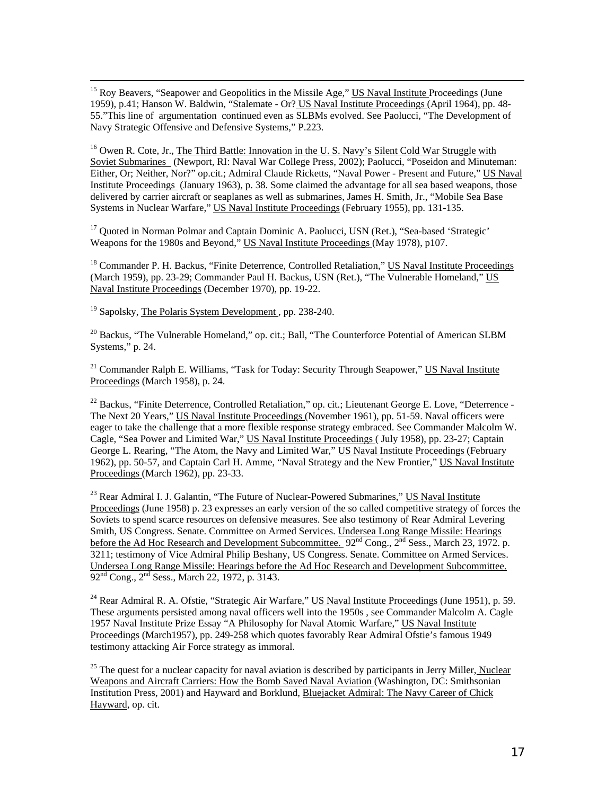<sup>15</sup> Roy Beavers, "Seapower and Geopolitics in the Missile Age," US Naval Institute Proceedings (June 1959), p.41; Hanson W. Baldwin, "Stalemate - Or? US Naval Institute Proceedings (April 1964), pp. 48- 55."This line of argumentation continued even as SLBMs evolved. See Paolucci, "The Development of Navy Strategic Offensive and Defensive Systems," P.223.

<sup>16</sup> Owen R. Cote, Jr., The Third Battle: Innovation in the U.S. Navy's Silent Cold War Struggle with Soviet Submarines (Newport, RI: Naval War College Press, 2002); Paolucci, "Poseidon and Minuteman: Either, Or; Neither, Nor?" op.cit.; Admiral Claude Ricketts, "Naval Power - Present and Future," US Naval Institute Proceedings (January 1963), p. 38. Some claimed the advantage for all sea based weapons, those delivered by carrier aircraft or seaplanes as well as submarines, James H. Smith, Jr., "Mobile Sea Base Systems in Nuclear Warfare," US Naval Institute Proceedings (February 1955), pp. 131-135.

<sup>17</sup> Quoted in Norman Polmar and Captain Dominic A. Paolucci, USN (Ret.), "Sea-based 'Strategic' Weapons for the 1980s and Beyond," US Naval Institute Proceedings (May 1978), p107.

<sup>18</sup> Commander P. H. Backus, "Finite Deterrence, Controlled Retaliation," US Naval Institute Proceedings (March 1959), pp. 23-29; Commander Paul H. Backus, USN (Ret.), "The Vulnerable Homeland," US Naval Institute Proceedings (December 1970), pp. 19-22.

<sup>19</sup> Sapolsky, The Polaris System Development, pp. 238-240.

 $^{20}$  Backus, "The Vulnerable Homeland," op. cit.; Ball, "The Counterforce Potential of American SLBM Systems," p. 24.

 $21$  Commander Ralph E. Williams, "Task for Today: Security Through Seapower," US Naval Institute Proceedings (March 1958), p. 24.

 $^{22}$  Backus, "Finite Deterrence, Controlled Retaliation," op. cit.; Lieutenant George E. Love, "Deterrence -The Next 20 Years," US Naval Institute Proceedings (November 1961), pp. 51-59. Naval officers were eager to take the challenge that a more flexible response strategy embraced. See Commander Malcolm W. Cagle, "Sea Power and Limited War," US Naval Institute Proceedings ( July 1958), pp. 23-27; Captain George L. Rearing, "The Atom, the Navy and Limited War," US Naval Institute Proceedings (February 1962), pp. 50-57, and Captain Carl H. Amme, "Naval Strategy and the New Frontier," US Naval Institute Proceedings (March 1962), pp. 23-33.

<sup>23</sup> Rear Admiral I. J. Galantin, "The Future of Nuclear-Powered Submarines," US Naval Institute Proceedings (June 1958) p. 23 expresses an early version of the so called competitive strategy of forces the Soviets to spend scarce resources on defensive measures. See also testimony of Rear Admiral Levering Smith, US Congress. Senate. Committee on Armed Services. Undersea Long Range Missile: Hearings before the Ad Hoc Research and Development Subcommittee.  $92<sup>nd</sup> Cong., 2<sup>nd</sup> Sess., March 23, 1972. p.$ 3211; testimony of Vice Admiral Philip Beshany, US Congress. Senate. Committee on Armed Services. Undersea Long Range Missile: Hearings before the Ad Hoc Research and Development Subcommittee.  $92<sup>nd</sup> Cong., 2<sup>nd</sup> Sess., March 22, 1972, p. 3143.$ 

<sup>24</sup> Rear Admiral R. A. Ofstie, "Strategic Air Warfare," US Naval Institute Proceedings (June 1951), p. 59. These arguments persisted among naval officers well into the 1950s , see Commander Malcolm A. Cagle 1957 Naval Institute Prize Essay "A Philosophy for Naval Atomic Warfare," US Naval Institute Proceedings (March1957), pp. 249-258 which quotes favorably Rear Admiral Ofstie's famous 1949 testimony attacking Air Force strategy as immoral.

<sup>25</sup> The quest for a nuclear capacity for naval aviation is described by participants in Jerry Miller, Nuclear Weapons and Aircraft Carriers: How the Bomb Saved Naval Aviation (Washington, DC: Smithsonian Institution Press, 2001) and Hayward and Borklund, Bluejacket Admiral: The Navy Career of Chick Hayward, op. cit.